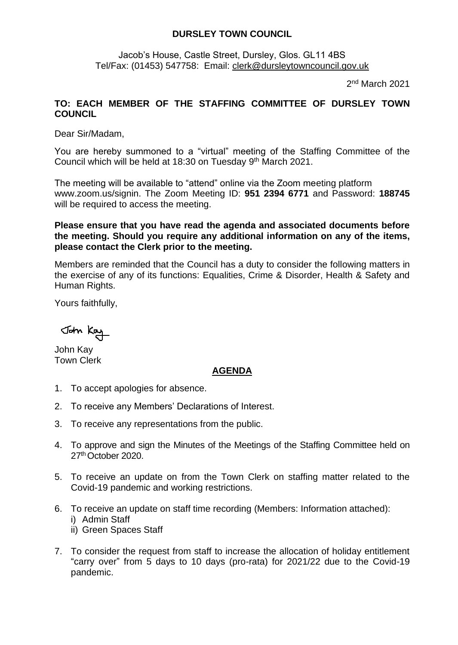## **DURSLEY TOWN COUNCIL**

Jacob's House, Castle Street, Dursley, Glos. GL11 4BS Tel/Fax: (01453) 547758: Email: [clerk@dursleytowncouncil.gov.uk](mailto:clerk@dursleytowncouncil.gov.uk)

2<sup>nd</sup> March 2021

## **TO: EACH MEMBER OF THE STAFFING COMMITTEE OF DURSLEY TOWN COUNCIL**

Dear Sir/Madam,

You are hereby summoned to a "virtual" meeting of the Staffing Committee of the Council which will be held at 18:30 on Tuesday 9<sup>th</sup> March 2021.

The meeting will be available to "attend" online via the Zoom meeting platform www.zoom.us/signin. The Zoom Meeting ID: **951 2394 6771** and Password: **188745** will be required to access the meeting.

**Please ensure that you have read the agenda and associated documents before the meeting. Should you require any additional information on any of the items, please contact the Clerk prior to the meeting.** 

Members are reminded that the Council has a duty to consider the following matters in the exercise of any of its functions: Equalities, Crime & Disorder, Health & Safety and Human Rights.

Yours faithfully,

John Kay

John Kay Town Clerk

## **AGENDA**

- 1. To accept apologies for absence.
- 2. To receive any Members' Declarations of Interest.
- 3. To receive any representations from the public.
- 4. To approve and sign the Minutes of the Meetings of the Staffing Committee held on 27th October 2020.
- 5. To receive an update on from the Town Clerk on staffing matter related to the Covid-19 pandemic and working restrictions.
- 6. To receive an update on staff time recording (Members: Information attached): i) Admin Staff
	- ii) Green Spaces Staff
- 7. To consider the request from staff to increase the allocation of holiday entitlement "carry over" from 5 days to 10 days (pro-rata) for 2021/22 due to the Covid-19 pandemic.